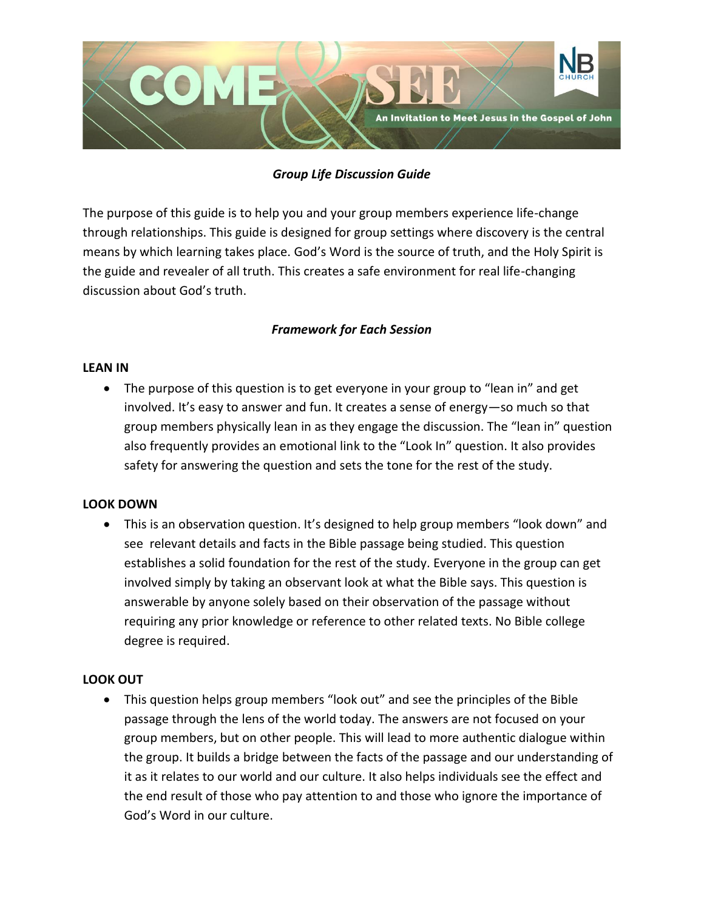

# *Group Life Discussion Guide*

The purpose of this guide is to help you and your group members experience life-change through relationships. This guide is designed for group settings where discovery is the central means by which learning takes place. God's Word is the source of truth, and the Holy Spirit is the guide and revealer of all truth. This creates a safe environment for real life-changing discussion about God's truth.

# *Framework for Each Session*

#### **LEAN IN**

• The purpose of this question is to get everyone in your group to "lean in" and get involved. It's easy to answer and fun. It creates a sense of energy—so much so that group members physically lean in as they engage the discussion. The "lean in" question also frequently provides an emotional link to the "Look In" question. It also provides safety for answering the question and sets the tone for the rest of the study.

#### **LOOK DOWN**

• This is an observation question. It's designed to help group members "look down" and see relevant details and facts in the Bible passage being studied. This question establishes a solid foundation for the rest of the study. Everyone in the group can get involved simply by taking an observant look at what the Bible says. This question is answerable by anyone solely based on their observation of the passage without requiring any prior knowledge or reference to other related texts. No Bible college degree is required.

#### **LOOK OUT**

• This question helps group members "look out" and see the principles of the Bible passage through the lens of the world today. The answers are not focused on your group members, but on other people. This will lead to more authentic dialogue within the group. It builds a bridge between the facts of the passage and our understanding of it as it relates to our world and our culture. It also helps individuals see the effect and the end result of those who pay attention to and those who ignore the importance of God's Word in our culture.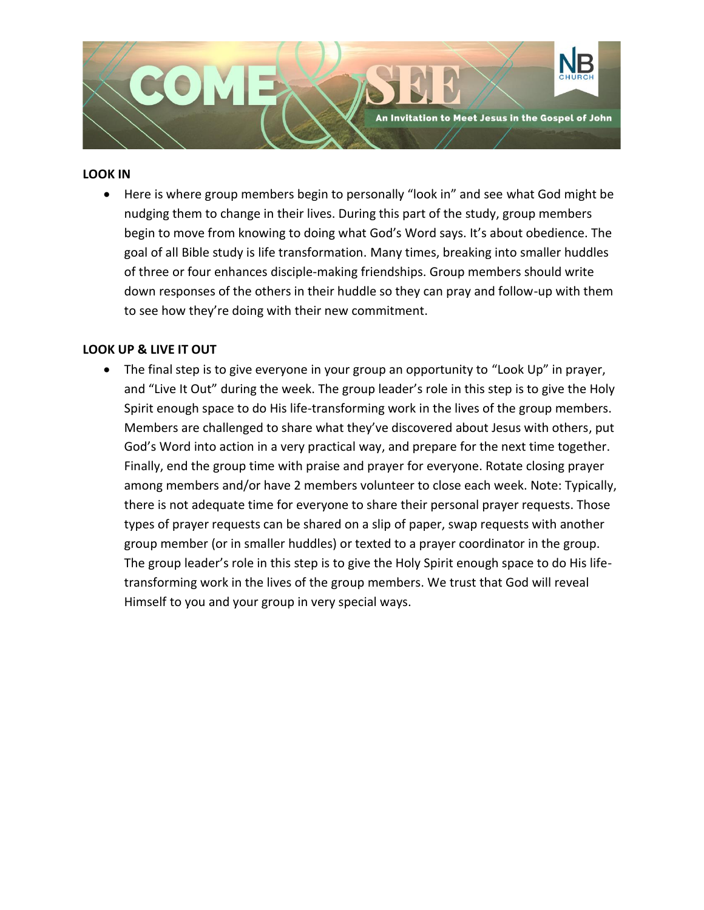

#### **LOOK IN**

• Here is where group members begin to personally "look in" and see what God might be nudging them to change in their lives. During this part of the study, group members begin to move from knowing to doing what God's Word says. It's about obedience. The goal of all Bible study is life transformation. Many times, breaking into smaller huddles of three or four enhances disciple-making friendships. Group members should write down responses of the others in their huddle so they can pray and follow-up with them to see how they're doing with their new commitment.

#### **LOOK UP & LIVE IT OUT**

• The final step is to give everyone in your group an opportunity to "Look Up" in prayer, and "Live It Out" during the week. The group leader's role in this step is to give the Holy Spirit enough space to do His life-transforming work in the lives of the group members. Members are challenged to share what they've discovered about Jesus with others, put God's Word into action in a very practical way, and prepare for the next time together. Finally, end the group time with praise and prayer for everyone. Rotate closing prayer among members and/or have 2 members volunteer to close each week. Note: Typically, there is not adequate time for everyone to share their personal prayer requests. Those types of prayer requests can be shared on a slip of paper, swap requests with another group member (or in smaller huddles) or texted to a prayer coordinator in the group. The group leader's role in this step is to give the Holy Spirit enough space to do His lifetransforming work in the lives of the group members. We trust that God will reveal Himself to you and your group in very special ways.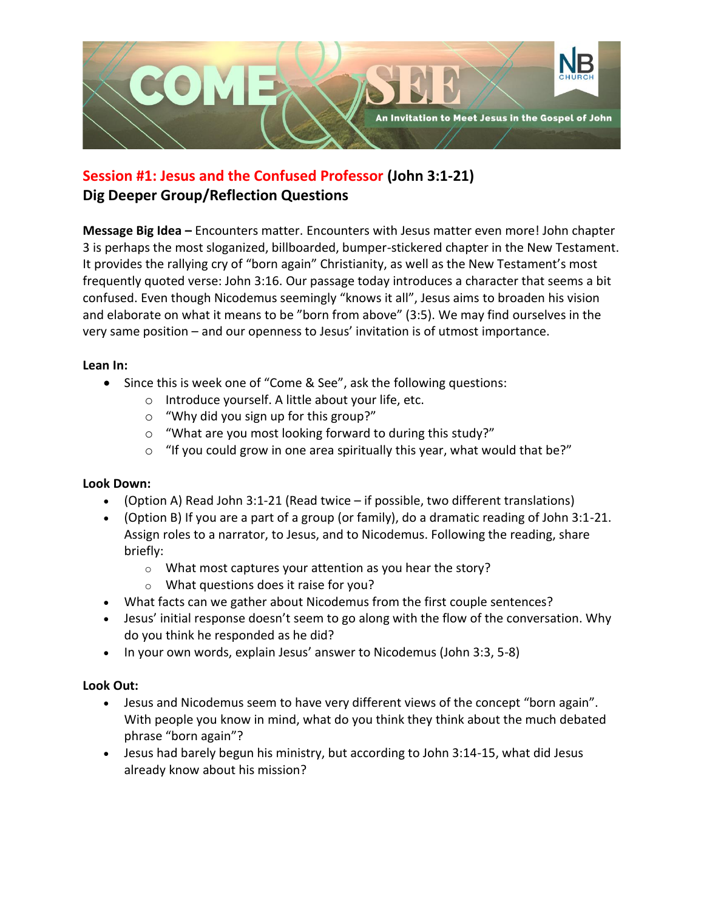

# **Session #1: Jesus and the Confused Professor (John 3:1-21) Dig Deeper Group/Reflection Questions**

**Message Big Idea –** Encounters matter. Encounters with Jesus matter even more! John chapter 3 is perhaps the most sloganized, billboarded, bumper-stickered chapter in the New Testament. It provides the rallying cry of "born again" Christianity, as well as the New Testament's most frequently quoted verse: John 3:16. Our passage today introduces a character that seems a bit confused. Even though Nicodemus seemingly "knows it all", Jesus aims to broaden his vision and elaborate on what it means to be "born from above" (3:5). We may find ourselves in the very same position – and our openness to Jesus' invitation is of utmost importance.

## **Lean In:**

- Since this is week one of "Come & See", ask the following questions:
	- o Introduce yourself. A little about your life, etc.
	- o "Why did you sign up for this group?"
	- o "What are you most looking forward to during this study?"
	- $\circ$  "If you could grow in one area spiritually this year, what would that be?"

# **Look Down:**

- (Option A) Read John 3:1-21 (Read twice if possible, two different translations)
- (Option B) If you are a part of a group (or family), do a dramatic reading of John 3:1-21. Assign roles to a narrator, to Jesus, and to Nicodemus. Following the reading, share briefly:
	- o What most captures your attention as you hear the story?
	- o What questions does it raise for you?
- What facts can we gather about Nicodemus from the first couple sentences?
- Jesus' initial response doesn't seem to go along with the flow of the conversation. Why do you think he responded as he did?
- In your own words, explain Jesus' answer to Nicodemus (John 3:3, 5-8)

- Jesus and Nicodemus seem to have very different views of the concept "born again". With people you know in mind, what do you think they think about the much debated phrase "born again"?
- Jesus had barely begun his ministry, but according to John 3:14-15, what did Jesus already know about his mission?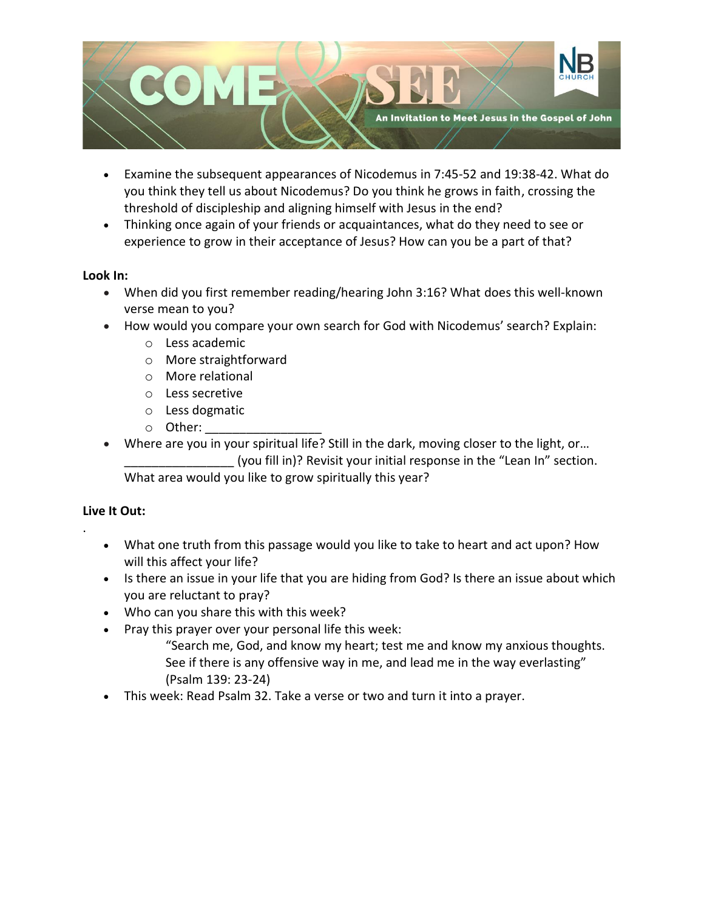

- Examine the subsequent appearances of Nicodemus in 7:45-52 and 19:38-42. What do you think they tell us about Nicodemus? Do you think he grows in faith, crossing the threshold of discipleship and aligning himself with Jesus in the end?
- Thinking once again of your friends or acquaintances, what do they need to see or experience to grow in their acceptance of Jesus? How can you be a part of that?

## **Look In:**

- When did you first remember reading/hearing John 3:16? What does this well-known verse mean to you?
- How would you compare your own search for God with Nicodemus' search? Explain:
	- o Less academic
	- o More straightforward
	- o More relational
	- o Less secretive
	- o Less dogmatic
	- $\circ$  Other:
- Where are you in your spiritual life? Still in the dark, moving closer to the light, or... \_\_\_\_\_\_\_\_\_\_\_\_\_\_\_\_ (you fill in)? Revisit your initial response in the "Lean In" section. What area would you like to grow spiritually this year?

# **Live It Out:**

.

- What one truth from this passage would you like to take to heart and act upon? How will this affect your life?
- Is there an issue in your life that you are hiding from God? Is there an issue about which you are reluctant to pray?
- Who can you share this with this week?
- Pray this prayer over your personal life this week:
	- "Search me, God, and know my heart; test me and know my anxious thoughts. See if there is any offensive way in me, and lead me in the way everlasting" (Psalm 139: 23-24)
- This week: Read Psalm 32. Take a verse or two and turn it into a prayer.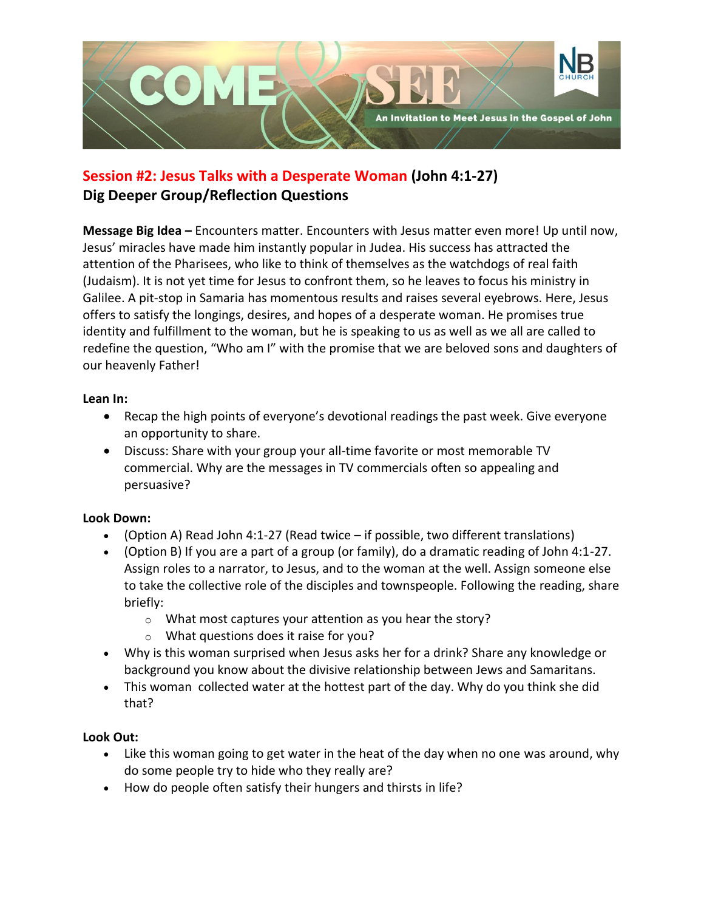

# **Session #2: Jesus Talks with a Desperate Woman (John 4:1-27) Dig Deeper Group/Reflection Questions**

**Message Big Idea –** Encounters matter. Encounters with Jesus matter even more! Up until now, Jesus' miracles have made him instantly popular in Judea. His success has attracted the attention of the Pharisees, who like to think of themselves as the watchdogs of real faith (Judaism). It is not yet time for Jesus to confront them, so he leaves to focus his ministry in Galilee. A pit-stop in Samaria has momentous results and raises several eyebrows. Here, Jesus offers to satisfy the longings, desires, and hopes of a desperate woman. He promises true identity and fulfillment to the woman, but he is speaking to us as well as we all are called to redefine the question, "Who am I" with the promise that we are beloved sons and daughters of our heavenly Father!

#### **Lean In:**

- Recap the high points of everyone's devotional readings the past week. Give everyone an opportunity to share.
- Discuss: Share with your group your all-time favorite or most memorable TV commercial. Why are the messages in TV commercials often so appealing and persuasive?

# **Look Down:**

- (Option A) Read John 4:1-27 (Read twice if possible, two different translations)
- (Option B) If you are a part of a group (or family), do a dramatic reading of John 4:1-27. Assign roles to a narrator, to Jesus, and to the woman at the well. Assign someone else to take the collective role of the disciples and townspeople. Following the reading, share briefly:
	- o What most captures your attention as you hear the story?
	- o What questions does it raise for you?
- Why is this woman surprised when Jesus asks her for a drink? Share any knowledge or background you know about the divisive relationship between Jews and Samaritans.
- This woman collected water at the hottest part of the day. Why do you think she did that?

- Like this woman going to get water in the heat of the day when no one was around, why do some people try to hide who they really are?
- How do people often satisfy their hungers and thirsts in life?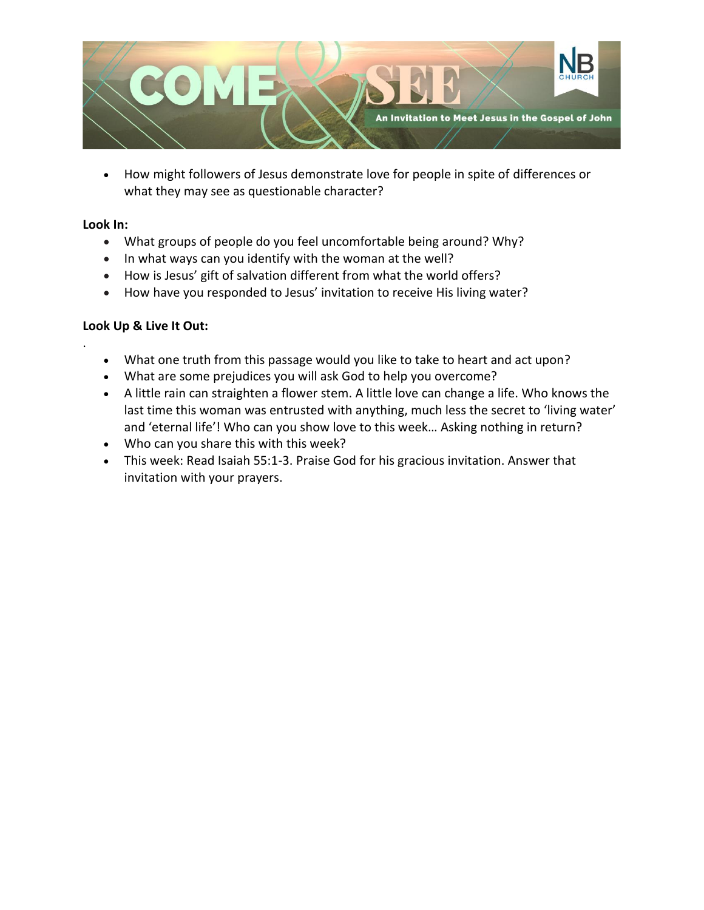

• How might followers of Jesus demonstrate love for people in spite of differences or what they may see as questionable character?

### **Look In:**

.

- What groups of people do you feel uncomfortable being around? Why?
- In what ways can you identify with the woman at the well?
- How is Jesus' gift of salvation different from what the world offers?
- How have you responded to Jesus' invitation to receive His living water?

# **Look Up & Live It Out:**

- What one truth from this passage would you like to take to heart and act upon?
- What are some prejudices you will ask God to help you overcome?
- A little rain can straighten a flower stem. A little love can change a life. Who knows the last time this woman was entrusted with anything, much less the secret to 'living water' and 'eternal life'! Who can you show love to this week… Asking nothing in return?
- Who can you share this with this week?
- This week: Read Isaiah 55:1-3. Praise God for his gracious invitation. Answer that invitation with your prayers.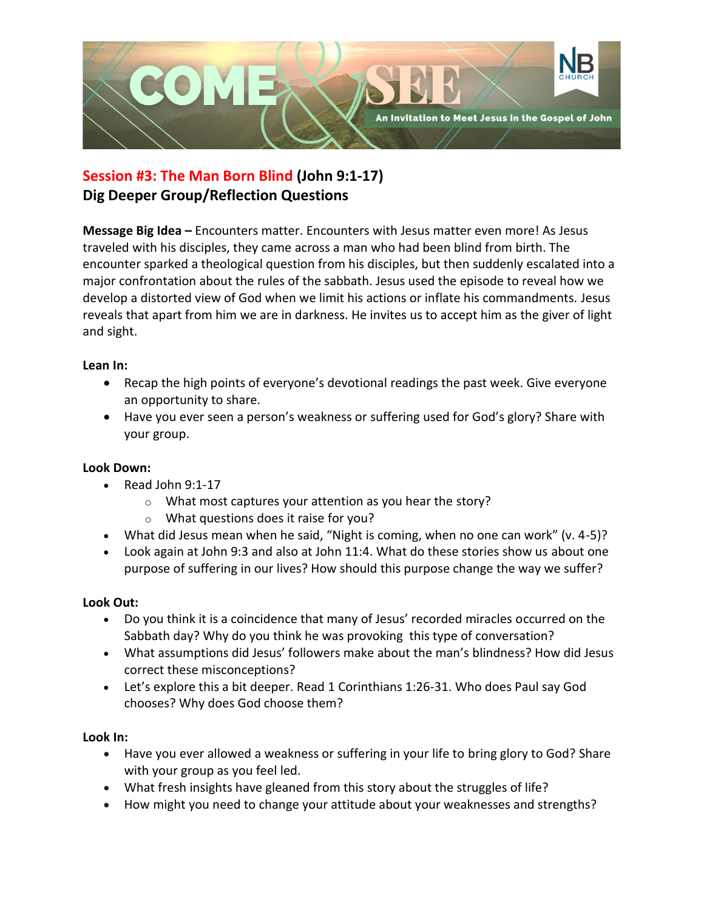

# **Session #3: The Man Born Blind (John 9:1-17) Dig Deeper Group/Reflection Questions**

**Message Big Idea –** Encounters matter. Encounters with Jesus matter even more! As Jesus traveled with his disciples, they came across a man who had been blind from birth. The encounter sparked a theological question from his disciples, but then suddenly escalated into a major confrontation about the rules of the sabbath. Jesus used the episode to reveal how we develop a distorted view of God when we limit his actions or inflate his commandments. Jesus reveals that apart from him we are in darkness. He invites us to accept him as the giver of light and sight.

## **Lean In:**

- Recap the high points of everyone's devotional readings the past week. Give everyone an opportunity to share.
- Have you ever seen a person's weakness or suffering used for God's glory? Share with your group.

# **Look Down:**

- Read John 9:1-17
	- o What most captures your attention as you hear the story?
	- o What questions does it raise for you?
- What did Jesus mean when he said, "Night is coming, when no one can work" (v. 4-5)?
- Look again at John 9:3 and also at John 11:4. What do these stories show us about one purpose of suffering in our lives? How should this purpose change the way we suffer?

# **Look Out:**

- Do you think it is a coincidence that many of Jesus' recorded miracles occurred on the Sabbath day? Why do you think he was provoking this type of conversation?
- What assumptions did Jesus' followers make about the man's blindness? How did Jesus correct these misconceptions?
- Let's explore this a bit deeper. Read 1 Corinthians 1:26-31. Who does Paul say God chooses? Why does God choose them?

#### **Look In:**

- Have you ever allowed a weakness or suffering in your life to bring glory to God? Share with your group as you feel led.
- What fresh insights have gleaned from this story about the struggles of life?
- How might you need to change your attitude about your weaknesses and strengths?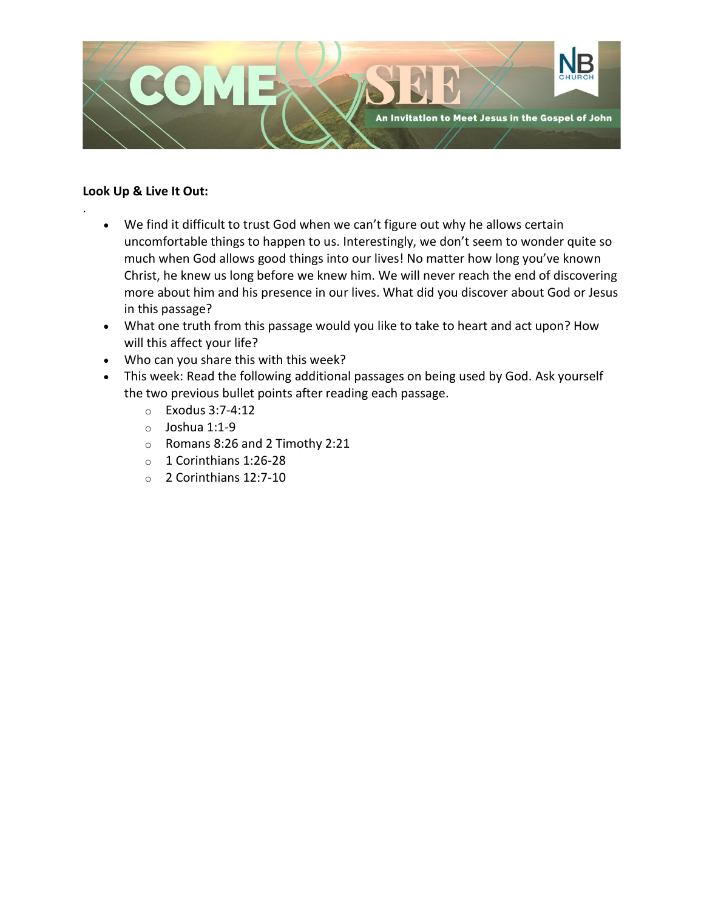

## **Look Up & Live It Out:**

.

- We find it difficult to trust God when we can't figure out why he allows certain uncomfortable things to happen to us. Interestingly, we don't seem to wonder quite so much when God allows good things into our lives! No matter how long you've known Christ, he knew us long before we knew him. We will never reach the end of discovering more about him and his presence in our lives. What did you discover about God or Jesus in this passage?
- What one truth from this passage would you like to take to heart and act upon? How will this affect your life?
- Who can you share this with this week?
- This week: Read the following additional passages on being used by God. Ask yourself the two previous bullet points after reading each passage.
	- o Exodus 3:7-4:12
	- o Joshua 1:1-9
	- o Romans 8:26 and 2 Timothy 2:21
	- o 1 Corinthians 1:26-28
	- o 2 Corinthians 12:7-10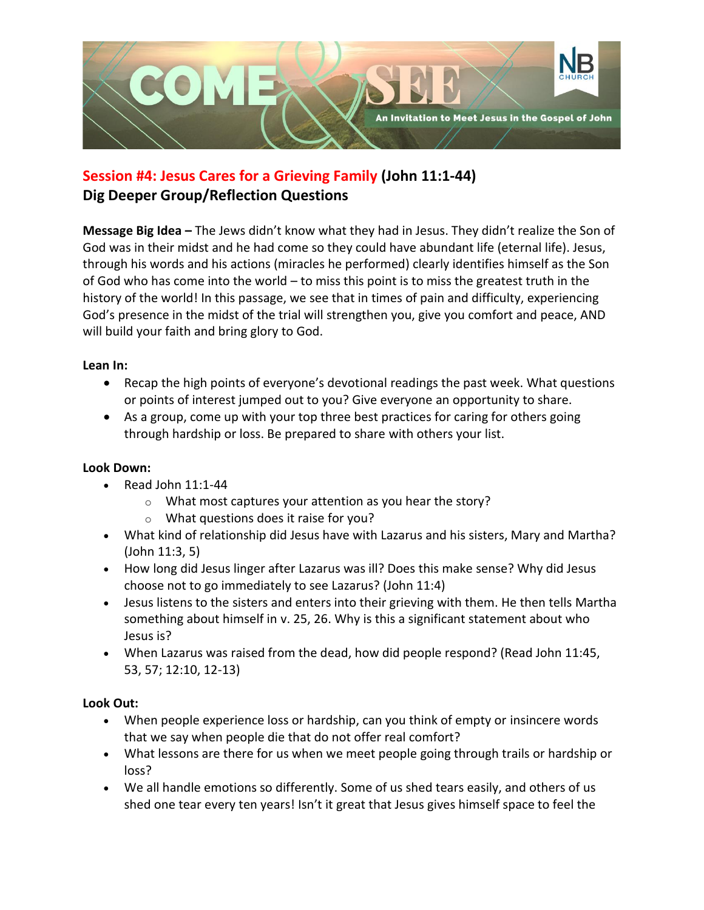

# **Session #4: Jesus Cares for a Grieving Family (John 11:1-44) Dig Deeper Group/Reflection Questions**

**Message Big Idea –** The Jews didn't know what they had in Jesus. They didn't realize the Son of God was in their midst and he had come so they could have abundant life (eternal life). Jesus, through his words and his actions (miracles he performed) clearly identifies himself as the Son of God who has come into the world – to miss this point is to miss the greatest truth in the history of the world! In this passage, we see that in times of pain and difficulty, experiencing God's presence in the midst of the trial will strengthen you, give you comfort and peace, AND will build your faith and bring glory to God.

# **Lean In:**

- Recap the high points of everyone's devotional readings the past week. What questions or points of interest jumped out to you? Give everyone an opportunity to share.
- As a group, come up with your top three best practices for caring for others going through hardship or loss. Be prepared to share with others your list.

# **Look Down:**

- Read John 11:1-44
	- o What most captures your attention as you hear the story?
	- o What questions does it raise for you?
- What kind of relationship did Jesus have with Lazarus and his sisters, Mary and Martha? (John 11:3, 5)
- How long did Jesus linger after Lazarus was ill? Does this make sense? Why did Jesus choose not to go immediately to see Lazarus? (John 11:4)
- Jesus listens to the sisters and enters into their grieving with them. He then tells Martha something about himself in v. 25, 26. Why is this a significant statement about who Jesus is?
- When Lazarus was raised from the dead, how did people respond? (Read John 11:45, 53, 57; 12:10, 12-13)

- When people experience loss or hardship, can you think of empty or insincere words that we say when people die that do not offer real comfort?
- What lessons are there for us when we meet people going through trails or hardship or loss?
- We all handle emotions so differently. Some of us shed tears easily, and others of us shed one tear every ten years! Isn't it great that Jesus gives himself space to feel the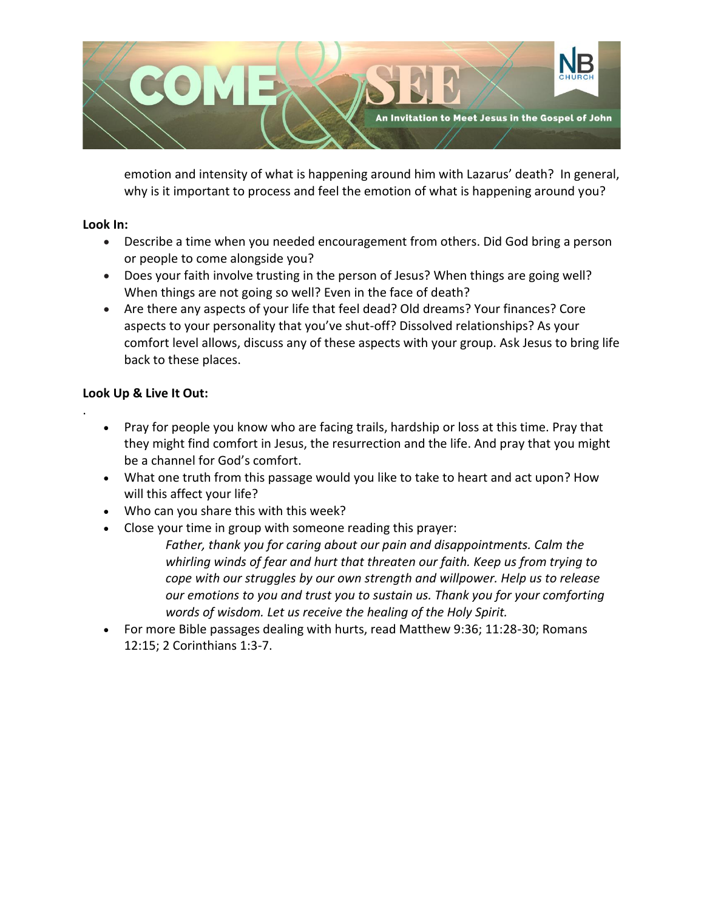

emotion and intensity of what is happening around him with Lazarus' death? In general, why is it important to process and feel the emotion of what is happening around you?

### **Look In:**

.

- Describe a time when you needed encouragement from others. Did God bring a person or people to come alongside you?
- Does your faith involve trusting in the person of Jesus? When things are going well? When things are not going so well? Even in the face of death?
- Are there any aspects of your life that feel dead? Old dreams? Your finances? Core aspects to your personality that you've shut-off? Dissolved relationships? As your comfort level allows, discuss any of these aspects with your group. Ask Jesus to bring life back to these places.

# **Look Up & Live It Out:**

- Pray for people you know who are facing trails, hardship or loss at this time. Pray that they might find comfort in Jesus, the resurrection and the life. And pray that you might be a channel for God's comfort.
- What one truth from this passage would you like to take to heart and act upon? How will this affect your life?
- Who can you share this with this week?
- Close your time in group with someone reading this prayer:
	- *Father, thank you for caring about our pain and disappointments. Calm the whirling winds of fear and hurt that threaten our faith. Keep us from trying to cope with our struggles by our own strength and willpower. Help us to release our emotions to you and trust you to sustain us. Thank you for your comforting words of wisdom. Let us receive the healing of the Holy Spirit.*
- For more Bible passages dealing with hurts, read Matthew 9:36; 11:28-30; Romans 12:15; 2 Corinthians 1:3-7.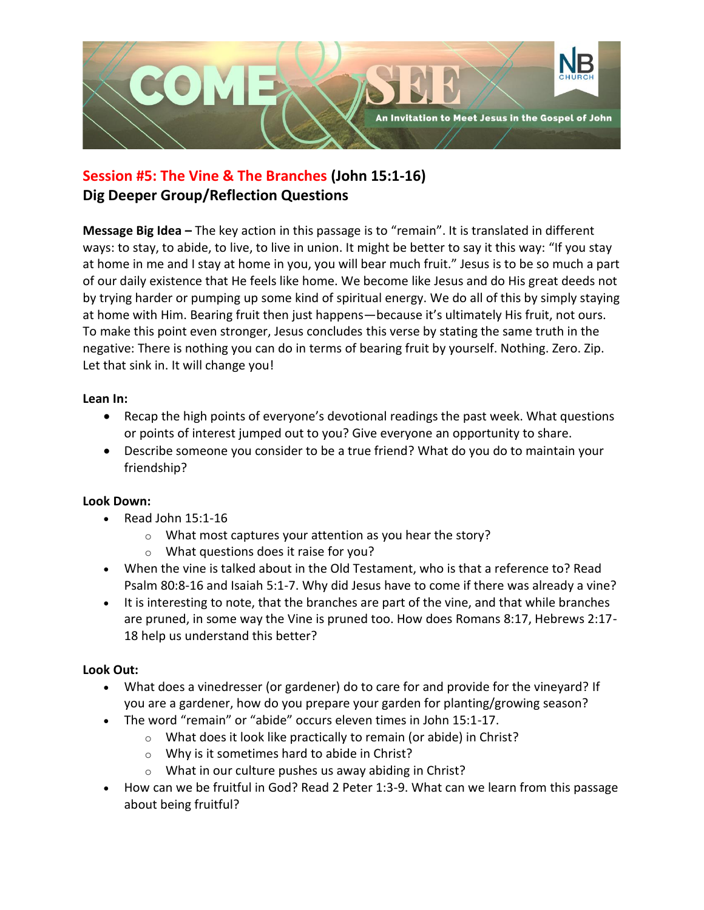

# **Session #5: The Vine & The Branches (John 15:1-16) Dig Deeper Group/Reflection Questions**

**Message Big Idea –** The key action in this passage is to "remain". It is translated in different ways: to stay, to abide, to live, to live in union. It might be better to say it this way: "If you stay at home in me and I stay at home in you, you will bear much fruit." Jesus is to be so much a part of our daily existence that He feels like home. We become like Jesus and do His great deeds not by trying harder or pumping up some kind of spiritual energy. We do all of this by simply staying at home with Him. Bearing fruit then just happens—because it's ultimately His fruit, not ours. To make this point even stronger, Jesus concludes this verse by stating the same truth in the negative: There is nothing you can do in terms of bearing fruit by yourself. Nothing. Zero. Zip. Let that sink in. It will change you!

## **Lean In:**

- Recap the high points of everyone's devotional readings the past week. What questions or points of interest jumped out to you? Give everyone an opportunity to share.
- Describe someone you consider to be a true friend? What do you do to maintain your friendship?

# **Look Down:**

- Read John 15:1-16
	- o What most captures your attention as you hear the story?
	- o What questions does it raise for you?
- When the vine is talked about in the Old Testament, who is that a reference to? Read Psalm 80:8-16 and Isaiah 5:1-7. Why did Jesus have to come if there was already a vine?
- It is interesting to note, that the branches are part of the vine, and that while branches are pruned, in some way the Vine is pruned too. How does Romans 8:17, Hebrews 2:17- 18 help us understand this better?

- What does a vinedresser (or gardener) do to care for and provide for the vineyard? If you are a gardener, how do you prepare your garden for planting/growing season?
- The word "remain" or "abide" occurs eleven times in John 15:1-17.
	- o What does it look like practically to remain (or abide) in Christ?
	- o Why is it sometimes hard to abide in Christ?
	- $\circ$  What in our culture pushes us away abiding in Christ?
- How can we be fruitful in God? Read 2 Peter 1:3-9. What can we learn from this passage about being fruitful?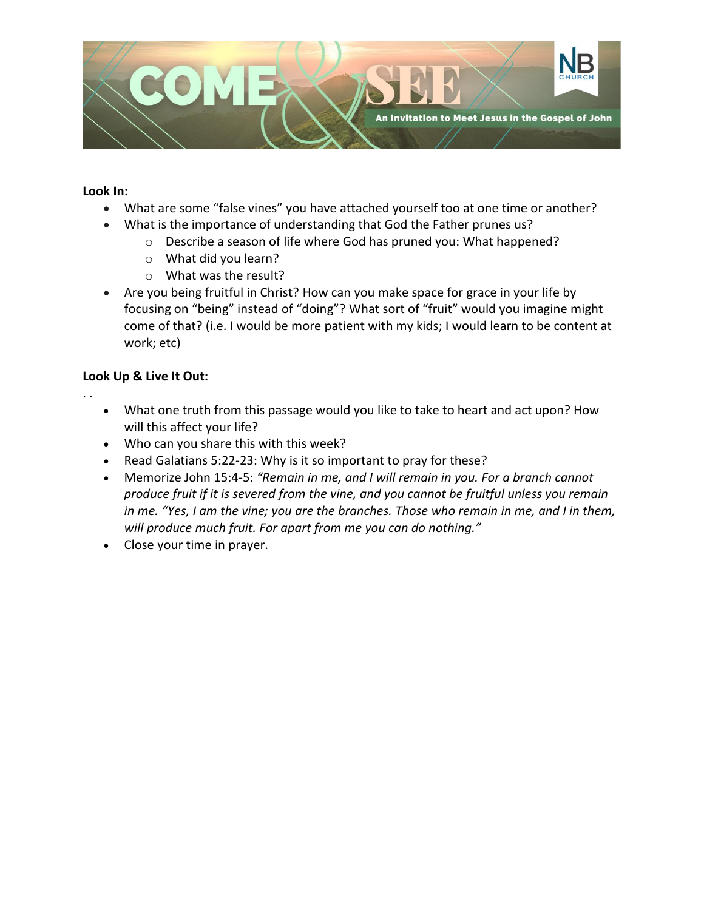

#### **Look In:**

. .

- What are some "false vines" you have attached yourself too at one time or another?
- What is the importance of understanding that God the Father prunes us?
	- o Describe a season of life where God has pruned you: What happened?
	- o What did you learn?
	- o What was the result?
- Are you being fruitful in Christ? How can you make space for grace in your life by focusing on "being" instead of "doing"? What sort of "fruit" would you imagine might come of that? (i.e. I would be more patient with my kids; I would learn to be content at work; etc)

## **Look Up & Live It Out:**

- What one truth from this passage would you like to take to heart and act upon? How will this affect your life?
- Who can you share this with this week?
- Read Galatians 5:22-23: Why is it so important to pray for these?
- Memorize John 15:4-5: *"Remain in me, and I will remain in you. For a branch cannot produce fruit if it is severed from the vine, and you cannot be fruitful unless you remain in me. "Yes, I am the vine; you are the branches. Those who remain in me, and I in them, will produce much fruit. For apart from me you can do nothing."*
- Close your time in prayer.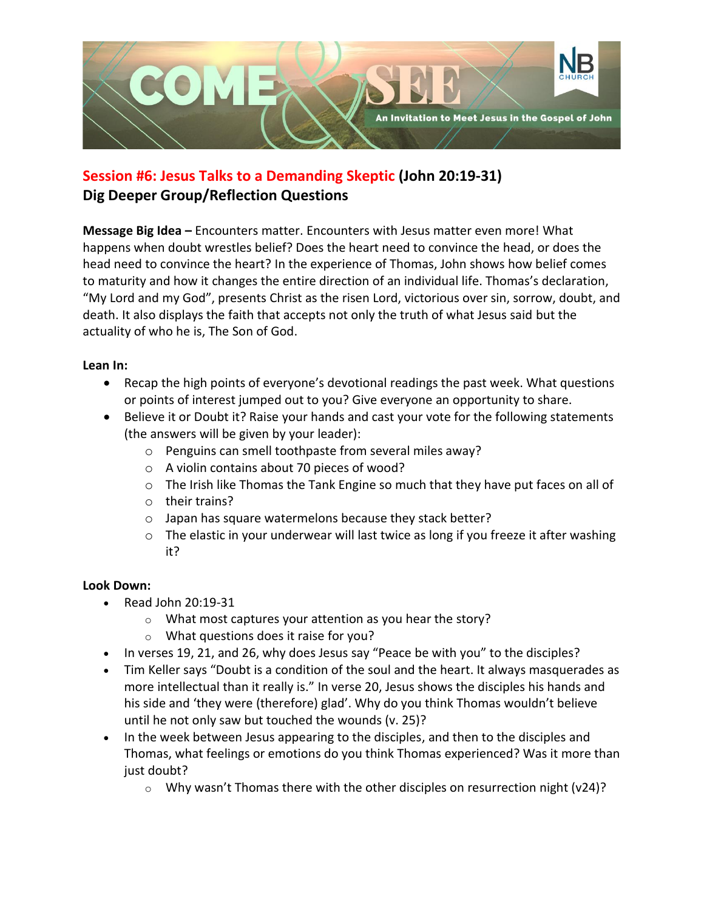

# **Session #6: Jesus Talks to a Demanding Skeptic (John 20:19-31) Dig Deeper Group/Reflection Questions**

**Message Big Idea –** Encounters matter. Encounters with Jesus matter even more! What happens when doubt wrestles belief? Does the heart need to convince the head, or does the head need to convince the heart? In the experience of Thomas, John shows how belief comes to maturity and how it changes the entire direction of an individual life. Thomas's declaration, "My Lord and my God", presents Christ as the risen Lord, victorious over sin, sorrow, doubt, and death. It also displays the faith that accepts not only the truth of what Jesus said but the actuality of who he is, The Son of God.

# **Lean In:**

- Recap the high points of everyone's devotional readings the past week. What questions or points of interest jumped out to you? Give everyone an opportunity to share.
- Believe it or Doubt it? Raise your hands and cast your vote for the following statements (the answers will be given by your leader):
	- o Penguins can smell toothpaste from several miles away?
	- o A violin contains about 70 pieces of wood?
	- $\circ$  The Irish like Thomas the Tank Engine so much that they have put faces on all of
	- o their trains?
	- o Japan has square watermelons because they stack better?
	- $\circ$  The elastic in your underwear will last twice as long if you freeze it after washing it?

# **Look Down:**

- Read John 20:19-31
	- o What most captures your attention as you hear the story?
	- o What questions does it raise for you?
- In verses 19, 21, and 26, why does Jesus say "Peace be with you" to the disciples?
- Tim Keller says "Doubt is a condition of the soul and the heart. It always masquerades as more intellectual than it really is." In verse 20, Jesus shows the disciples his hands and his side and 'they were (therefore) glad'. Why do you think Thomas wouldn't believe until he not only saw but touched the wounds (v. 25)?
- In the week between Jesus appearing to the disciples, and then to the disciples and Thomas, what feelings or emotions do you think Thomas experienced? Was it more than just doubt?
	- $\circ$  Why wasn't Thomas there with the other disciples on resurrection night (v24)?